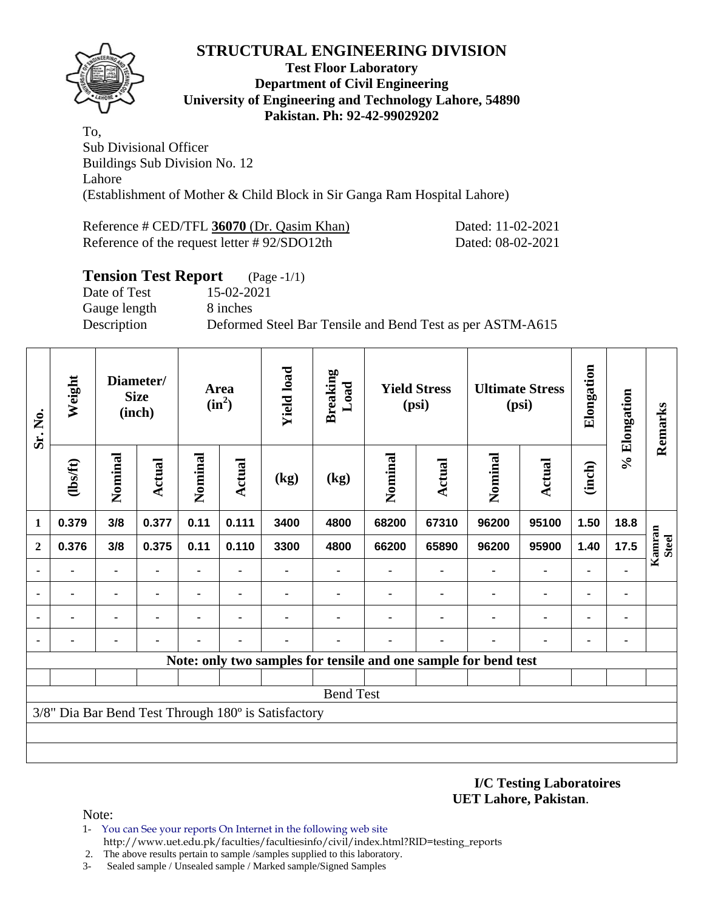

### **Test Floor Laboratory Department of Civil Engineering University of Engineering and Technology Lahore, 54890 Pakistan. Ph: 92-42-99029202**

To, Sub Divisional Officer Buildings Sub Division No. 12 Lahore (Establishment of Mother & Child Block in Sir Ganga Ram Hospital Lahore)

| Reference # CED/TFL 36070 (Dr. Qasim Khan)  | Dated: 11-02-2021 |
|---------------------------------------------|-------------------|
| Reference of the request letter #92/SDO12th | Dated: 08-02-2021 |

### **Tension Test Report** (Page -1/1) Date of Test 15-02-2021

Gauge length 8 inches

Description Deformed Steel Bar Tensile and Bend Test as per ASTM-A615

| Sr. No.        | Weight  | Diameter/<br><b>Size</b><br>(inch) |        | Area<br>$(in^2)$ |                | <b>Yield load</b>                                   | <b>Breaking</b><br>Load | <b>Yield Stress</b><br>(psi) |                                                                 | <b>Ultimate Stress</b><br>(psi) |                | Elongation     | % Elongation | Remarks                |
|----------------|---------|------------------------------------|--------|------------------|----------------|-----------------------------------------------------|-------------------------|------------------------------|-----------------------------------------------------------------|---------------------------------|----------------|----------------|--------------|------------------------|
|                | (1bsft) | Nominal                            | Actual | Nominal          | Actual         | (kg)                                                | (kg)                    | Nominal                      | Actual                                                          | Nominal                         | Actual         | (inch)         |              |                        |
| 1              | 0.379   | 3/8                                | 0.377  | 0.11             | 0.111          | 3400                                                | 4800                    | 68200                        | 67310                                                           | 96200                           | 95100          | 1.50           | 18.8         |                        |
| $\overline{2}$ | 0.376   | 3/8                                | 0.375  | 0.11             | 0.110          | 3300                                                | 4800                    | 66200                        | 65890                                                           | 96200                           | 95900          | 1.40           | 17.5         | Kamran<br><b>Steel</b> |
|                |         |                                    |        | ۰                | $\blacksquare$ |                                                     | ۰                       |                              |                                                                 |                                 | $\blacksquare$ |                |              |                        |
|                |         | ٠                                  |        |                  |                |                                                     |                         |                              |                                                                 |                                 | $\blacksquare$ | ٠              |              |                        |
|                |         | ۰                                  |        |                  |                |                                                     |                         |                              |                                                                 |                                 | $\blacksquare$ | ۰              |              |                        |
|                |         |                                    |        |                  | $\blacksquare$ |                                                     |                         |                              |                                                                 |                                 | $\blacksquare$ | $\blacksquare$ |              |                        |
|                |         |                                    |        |                  |                |                                                     |                         |                              | Note: only two samples for tensile and one sample for bend test |                                 |                |                |              |                        |
|                |         |                                    |        |                  |                |                                                     |                         |                              |                                                                 |                                 |                |                |              |                        |
|                |         |                                    |        |                  |                |                                                     | <b>Bend Test</b>        |                              |                                                                 |                                 |                |                |              |                        |
|                |         |                                    |        |                  |                | 3/8" Dia Bar Bend Test Through 180° is Satisfactory |                         |                              |                                                                 |                                 |                |                |              |                        |
|                |         |                                    |        |                  |                |                                                     |                         |                              |                                                                 |                                 |                |                |              |                        |
|                |         |                                    |        |                  |                |                                                     |                         |                              |                                                                 |                                 |                |                |              |                        |

### **I/C Testing Laboratoires UET Lahore, Pakistan**.

Note:

- 1- You can See your reports On Internet in the following web site http://www.uet.edu.pk/faculties/facultiesinfo/civil/index.html?RID=testing\_reports
- 2. The above results pertain to sample /samples supplied to this laboratory.
- 3- Sealed sample / Unsealed sample / Marked sample/Signed Samples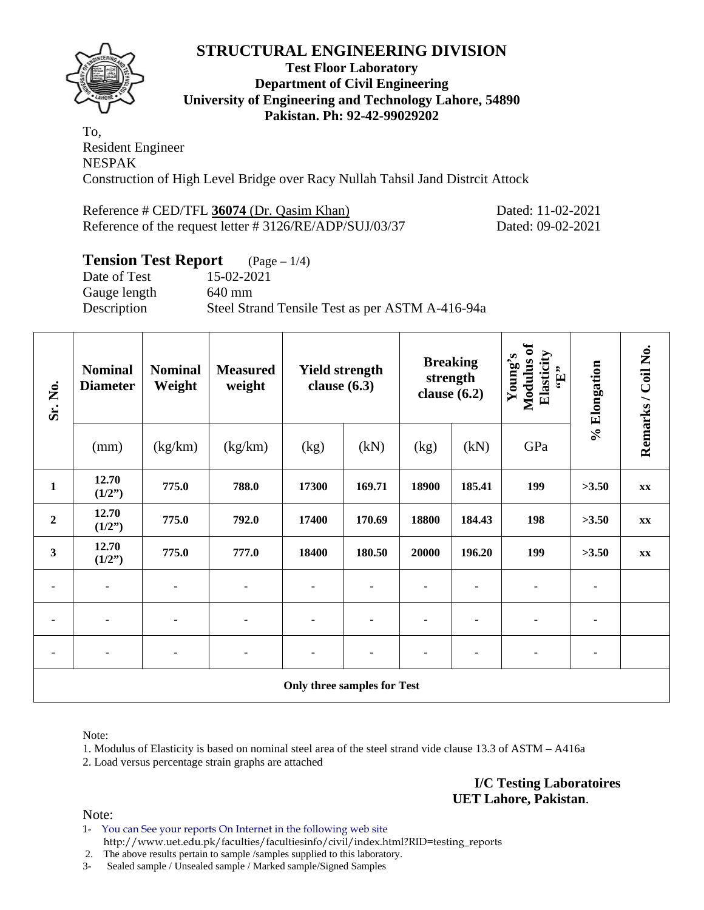

## **Test Floor Laboratory Department of Civil Engineering University of Engineering and Technology Lahore, 54890 Pakistan. Ph: 92-42-99029202**

To, Resident Engineer NESPAK Construction of High Level Bridge over Racy Nullah Tahsil Jand Distrcit Attock

| Reference # CED/TFL 36074 (Dr. Qasim Khan)             | Dated: 11-02-2021 |
|--------------------------------------------------------|-------------------|
| Reference of the request letter #3126/RE/ADP/SUJ/03/37 | Dated: 09-02-2021 |

# **Tension Test Report** (Page – 1/4)

Date of Test 15-02-2021 Gauge length 640 mm Description Steel Strand Tensile Test as per ASTM A-416-94a

| Sr. No.                 | <b>Nominal</b><br><b>Diameter</b> | <b>Nominal</b><br>Weight | <b>Measured</b><br>weight | clause $(6.3)$                     | <b>Yield strength</b> | clause $(6.2)$ | <b>Breaking</b><br>strength | Modulus of<br>Elasticity<br>Young's<br>$\mathbf{E}$ | % Elongation | Remarks / Coil No. |
|-------------------------|-----------------------------------|--------------------------|---------------------------|------------------------------------|-----------------------|----------------|-----------------------------|-----------------------------------------------------|--------------|--------------------|
|                         | (mm)                              | (kg/km)                  | (kg/km)                   | (kg)                               | (kN)                  | (kg)           | (kN)                        | GPa                                                 |              |                    |
| $\mathbf{1}$            | 12.70<br>(1/2")                   | 775.0                    | 788.0                     | 17300                              | 169.71                | 18900          | 185.41                      | 199                                                 | >3.50        | $\mathbf{XX}$      |
| $\boldsymbol{2}$        | 12.70<br>(1/2")                   | 775.0                    | 792.0                     | 17400                              | 170.69                | 18800          | 184.43                      | 198                                                 | >3.50        | $\mathbf{XX}$      |
| $\overline{\mathbf{3}}$ | 12.70<br>(1/2")                   | 775.0                    | 777.0                     | 18400                              | 180.50                | 20000          | 196.20                      | 199                                                 | >3.50        | $\mathbf{XX}$      |
| ۰                       | $\blacksquare$                    |                          |                           | ٠                                  |                       |                |                             | ۰                                                   |              |                    |
|                         |                                   |                          |                           |                                    |                       |                |                             |                                                     |              |                    |
| ٠                       | ۰                                 | ۰                        | ٠                         | ۰                                  |                       |                |                             | ۰                                                   |              |                    |
|                         |                                   |                          |                           | <b>Only three samples for Test</b> |                       |                |                             |                                                     |              |                    |

Note:

1. Modulus of Elasticity is based on nominal steel area of the steel strand vide clause 13.3 of ASTM – A416a

2. Load versus percentage strain graphs are attached

**I/C Testing Laboratoires UET Lahore, Pakistan**.

Note:

1- You can See your reports On Internet in the following web site http://www.uet.edu.pk/faculties/facultiesinfo/civil/index.html?RID=testing\_reports

2. The above results pertain to sample /samples supplied to this laboratory.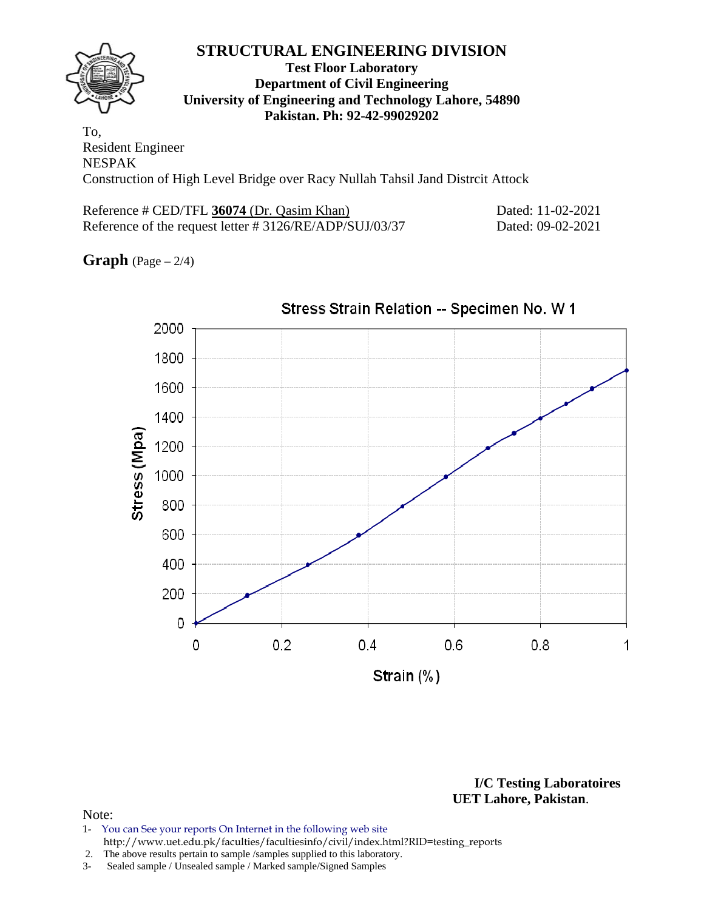

### **Test Floor Laboratory Department of Civil Engineering University of Engineering and Technology Lahore, 54890 Pakistan. Ph: 92-42-99029202**

To, Resident Engineer NESPAK Construction of High Level Bridge over Racy Nullah Tahsil Jand Distrcit Attock

| Reference # CED/TFL 36074 (Dr. Qasim Khan)             | Dated: 11-02-2021 |
|--------------------------------------------------------|-------------------|
| Reference of the request letter #3126/RE/ADP/SUJ/03/37 | Dated: 09-02-2021 |

**Graph** (Page – 2/4)



Stress Strain Relation -- Specimen No. W 1

**I/C Testing Laboratoires UET Lahore, Pakistan**.

#### Note:

1- You can See your reports On Internet in the following web site http://www.uet.edu.pk/faculties/facultiesinfo/civil/index.html?RID=testing\_reports

2. The above results pertain to sample /samples supplied to this laboratory.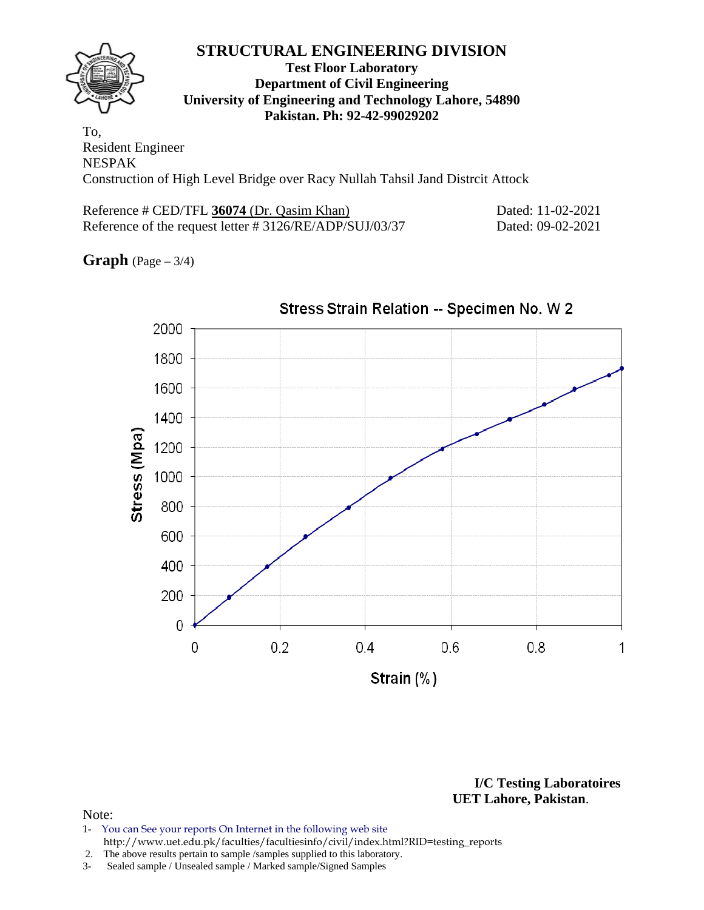

## **Test Floor Laboratory Department of Civil Engineering University of Engineering and Technology Lahore, 54890 Pakistan. Ph: 92-42-99029202**

To, Resident Engineer NESPAK Construction of High Level Bridge over Racy Nullah Tahsil Jand Distrcit Attock

| Reference # CED/TFL 36074 (Dr. Qasim Khan)             | Dated: 11-02-2021 |
|--------------------------------------------------------|-------------------|
| Reference of the request letter #3126/RE/ADP/SUJ/03/37 | Dated: 09-02-2021 |

**Graph** (Page – 3/4)



Stress Strain Relation -- Specimen No. W 2

**I/C Testing Laboratoires UET Lahore, Pakistan**.

#### Note:

1- You can See your reports On Internet in the following web site http://www.uet.edu.pk/faculties/facultiesinfo/civil/index.html?RID=testing\_reports

2. The above results pertain to sample /samples supplied to this laboratory.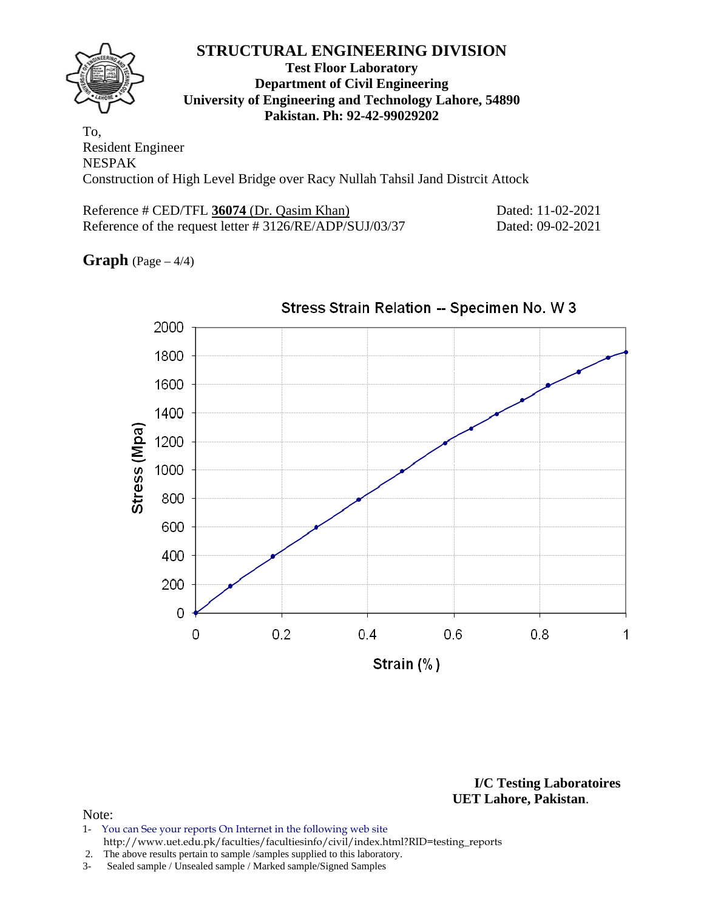

### **Test Floor Laboratory Department of Civil Engineering University of Engineering and Technology Lahore, 54890 Pakistan. Ph: 92-42-99029202**

To, Resident Engineer NESPAK Construction of High Level Bridge over Racy Nullah Tahsil Jand Distrcit Attock

| Reference # CED/TFL 36074 (Dr. Qasim Khan)             | Dated: 11-02-2021 |
|--------------------------------------------------------|-------------------|
| Reference of the request letter #3126/RE/ADP/SUJ/03/37 | Dated: 09-02-2021 |

**Graph** (Page – 4/4)



Stress Strain Relation -- Specimen No. W 3

**I/C Testing Laboratoires UET Lahore, Pakistan**.

#### Note:

- 1- You can See your reports On Internet in the following web site http://www.uet.edu.pk/faculties/facultiesinfo/civil/index.html?RID=testing\_reports
- 2. The above results pertain to sample /samples supplied to this laboratory.
- 3- Sealed sample / Unsealed sample / Marked sample/Signed Samples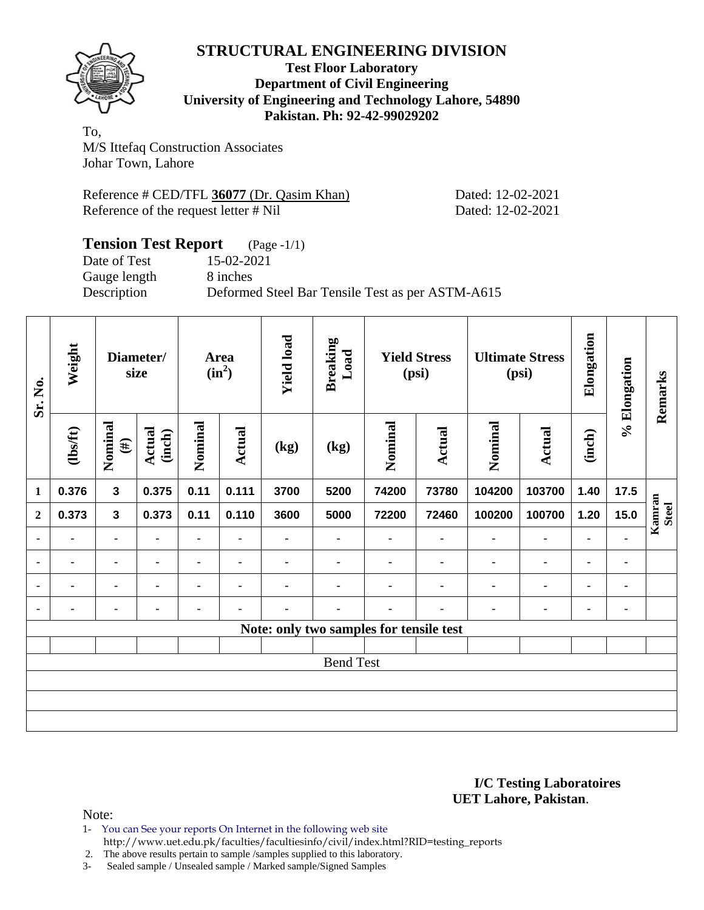

### **Test Floor Laboratory Department of Civil Engineering University of Engineering and Technology Lahore, 54890 Pakistan. Ph: 92-42-99029202**

To, M/S Ittefaq Construction Associates Johar Town, Lahore

| Reference # CED/TFL 36077 (Dr. Qasim Khan) |  |  |
|--------------------------------------------|--|--|
| Reference of the request letter # Nil      |  |  |

Dated: 12-02-2021 Dated: 12-02-2021

## **Tension Test Report** (Page -1/1) Date of Test 15-02-2021 Gauge length 8 inches Description Deformed Steel Bar Tensile Test as per ASTM-A615

| Sr. No.        | Weight         | Diameter/<br>size       |                          |                |                | Area<br>$(in^2)$ |                  | <b>Yield load</b>                       | <b>Breaking</b><br>Load |         | <b>Yield Stress</b><br>(psi) |                | <b>Ultimate Stress</b><br>(psi) | Elongation             | % Elongation | Remarks |
|----------------|----------------|-------------------------|--------------------------|----------------|----------------|------------------|------------------|-----------------------------------------|-------------------------|---------|------------------------------|----------------|---------------------------------|------------------------|--------------|---------|
|                | $\frac{2}{10}$ | Nominal<br>$(\#)$       | <b>Actual</b><br>(inch)  | Nominal        | Actual         | (kg)             | (kg)             | Nominal                                 | Actual                  | Nominal | <b>Actual</b>                | (inch)         |                                 |                        |              |         |
| 1              | 0.376          | $\mathbf{3}$            | 0.375                    | 0.11           | 0.111          | 3700             | 5200             | 74200                                   | 73780                   | 104200  | 103700                       | 1.40           | 17.5                            |                        |              |         |
| $\mathbf{2}$   | 0.373          | $\overline{\mathbf{3}}$ | 0.373                    | 0.11           | 0.110          | 3600             | 5000             | 72200                                   | 72460                   | 100200  | 100700                       | 1.20           | 15.0                            | Kamran<br><b>Steel</b> |              |         |
| $\blacksquare$ |                | $\blacksquare$          | $\blacksquare$           | -              | $\blacksquare$ |                  | ۰                | $\blacksquare$                          | $\blacksquare$          | ٠       | $\blacksquare$               | $\blacksquare$ | $\blacksquare$                  |                        |              |         |
| $\blacksquare$ |                | ۰                       | $\overline{\phantom{a}}$ | $\blacksquare$ | $\blacksquare$ |                  |                  |                                         | $\blacksquare$          | ٠       | ۰                            | ٠              | ۰                               |                        |              |         |
| ٠              |                | ۰                       |                          |                | ٠              | ۰                |                  |                                         |                         | ٠       | ۰                            | ٠              |                                 |                        |              |         |
| ٠              |                | ٠                       |                          |                |                |                  |                  |                                         |                         |         | ۰                            | ۰              |                                 |                        |              |         |
|                |                |                         |                          |                |                |                  |                  | Note: only two samples for tensile test |                         |         |                              |                |                                 |                        |              |         |
|                |                |                         |                          |                |                |                  |                  |                                         |                         |         |                              |                |                                 |                        |              |         |
|                |                |                         |                          |                |                |                  | <b>Bend Test</b> |                                         |                         |         |                              |                |                                 |                        |              |         |
|                |                |                         |                          |                |                |                  |                  |                                         |                         |         |                              |                |                                 |                        |              |         |
|                |                |                         |                          |                |                |                  |                  |                                         |                         |         |                              |                |                                 |                        |              |         |
|                |                |                         |                          |                |                |                  |                  |                                         |                         |         |                              |                |                                 |                        |              |         |

### **I/C Testing Laboratoires UET Lahore, Pakistan**.

Note:

- 1- You can See your reports On Internet in the following web site
- http://www.uet.edu.pk/faculties/facultiesinfo/civil/index.html?RID=testing\_reports 2. The above results pertain to sample /samples supplied to this laboratory.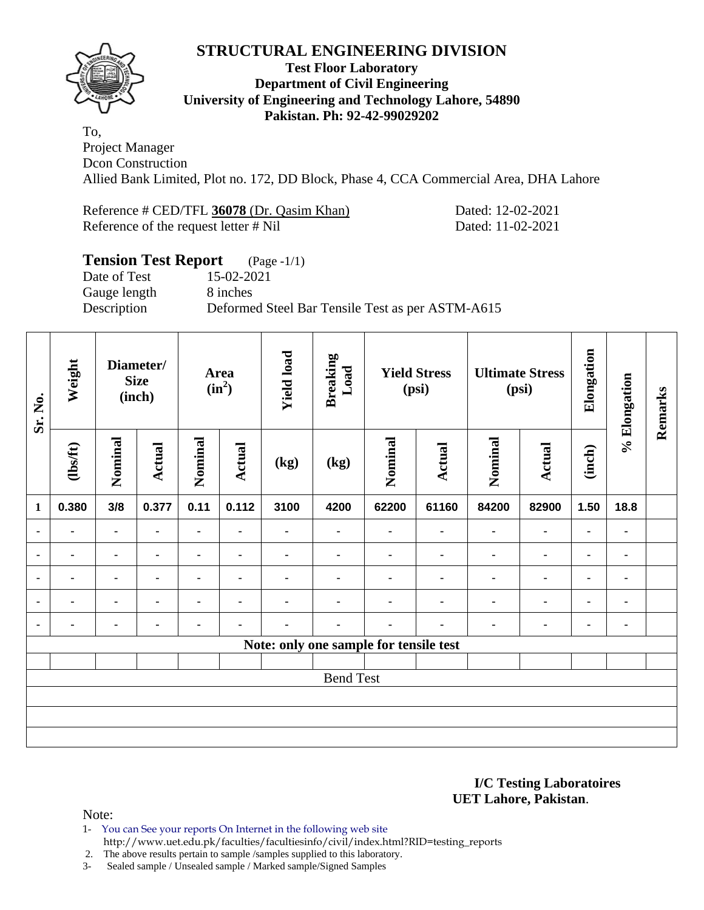

### **Test Floor Laboratory Department of Civil Engineering University of Engineering and Technology Lahore, 54890 Pakistan. Ph: 92-42-99029202**

To, Project Manager Dcon Construction

Allied Bank Limited, Plot no. 172, DD Block, Phase 4, CCA Commercial Area, DHA Lahore

Reference # CED/TFL 36078 (Dr. Qasim Khan) Dated: 12-02-2021 Reference of the request letter # Nil Dated: 11-02-2021

## **Tension Test Report** (Page -1/1) Date of Test 15-02-2021 Gauge length 8 inches Description Deformed Steel Bar Tensile Test as per ASTM-A615

| Sr. No.        | Weight         | Diameter/<br><b>Size</b><br>(inch) |                | Area<br>$(in^2)$ |                | <b>Yield load</b> | <b>Breaking</b><br>Load                | <b>Yield Stress</b><br>(psi) |                | <b>Ultimate Stress</b><br>(psi) |                | Elongation | % Elongation   | Remarks |
|----------------|----------------|------------------------------------|----------------|------------------|----------------|-------------------|----------------------------------------|------------------------------|----------------|---------------------------------|----------------|------------|----------------|---------|
|                | $\frac{2}{10}$ | Nominal                            | <b>Actual</b>  | Nominal          | Actual         | (kg)              | (kg)                                   | Nominal                      | <b>Actual</b>  | Nominal                         | Actual         | (inch)     |                |         |
| $\mathbf{1}$   | 0.380          | 3/8                                | 0.377          | 0.11             | 0.112          | 3100              | 4200                                   | 62200                        | 61160          | 84200                           | 82900          | 1.50       | 18.8           |         |
| $\blacksquare$ | ۰              | ۰                                  |                | ۰                |                | ۰                 | ۰                                      |                              | $\blacksquare$ | $\blacksquare$                  | ۰              | ٠          |                |         |
| $\blacksquare$ | -              |                                    |                | ٠                | $\blacksquare$ | $\blacksquare$    | $\blacksquare$                         |                              | ٠              | $\blacksquare$                  | $\blacksquare$ | ۰          |                |         |
| $\blacksquare$ | $\blacksquare$ |                                    | $\blacksquare$ | ۰                | $\blacksquare$ | ۰                 | $\blacksquare$                         |                              | ٠              | $\blacksquare$                  | $\blacksquare$ | ۰          | $\blacksquare$ |         |
| ٠              |                |                                    |                |                  | ٠              |                   |                                        |                              |                |                                 | ٠              | ٠          | ٠              |         |
| $\blacksquare$ |                | ۰                                  |                |                  | $\blacksquare$ | ÷                 |                                        |                              |                |                                 | $\blacksquare$ | ۰          | ٠              |         |
|                |                |                                    |                |                  |                |                   | Note: only one sample for tensile test |                              |                |                                 |                |            |                |         |
|                |                |                                    |                |                  |                |                   |                                        |                              |                |                                 |                |            |                |         |
|                |                |                                    |                |                  |                |                   | <b>Bend Test</b>                       |                              |                |                                 |                |            |                |         |
|                |                |                                    |                |                  |                |                   |                                        |                              |                |                                 |                |            |                |         |
|                |                |                                    |                |                  |                |                   |                                        |                              |                |                                 |                |            |                |         |
|                |                |                                    |                |                  |                |                   |                                        |                              |                |                                 |                |            |                |         |

**I/C Testing Laboratoires UET Lahore, Pakistan**.

Note:

1- You can See your reports On Internet in the following web site http://www.uet.edu.pk/faculties/facultiesinfo/civil/index.html?RID=testing\_reports

2. The above results pertain to sample /samples supplied to this laboratory.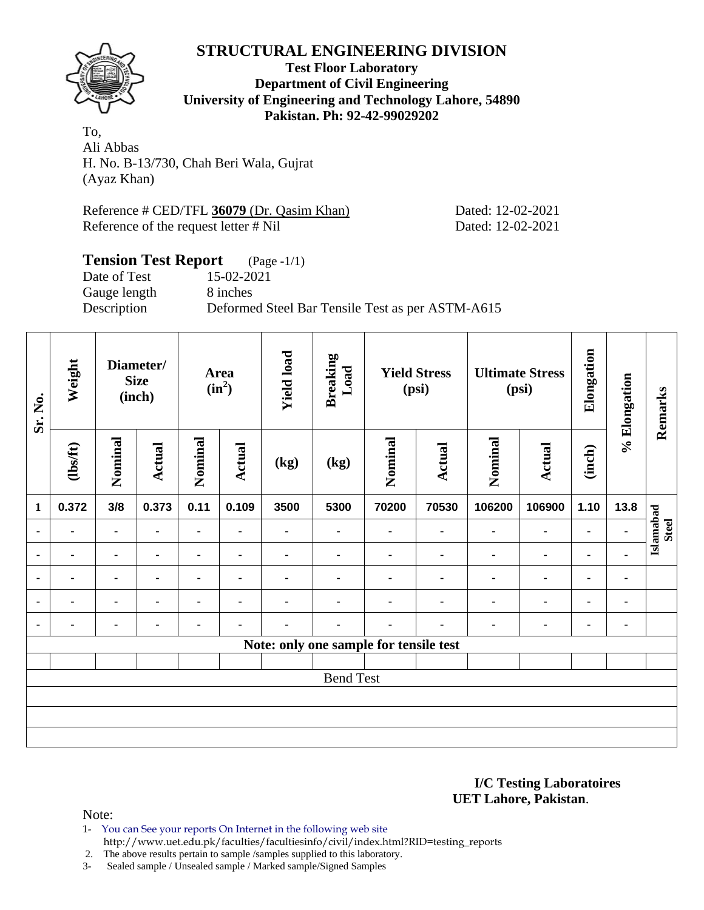

### **Test Floor Laboratory Department of Civil Engineering University of Engineering and Technology Lahore, 54890 Pakistan. Ph: 92-42-99029202**

To, Ali Abbas H. No. B-13/730, Chah Beri Wala, Gujrat (Ayaz Khan)

| Reference # CED/TFL 36079 (Dr. Qasim Khan) |
|--------------------------------------------|
| Reference of the request letter # Nil      |

Dated: 12-02-2021 Dated: 12-02-2021

# **Tension Test Report** (Page -1/1) Date of Test 15-02-2021 Gauge length 8 inches Description Deformed Steel Bar Tensile Test as per ASTM-A615

| Sr. No.        | Weight         |                | Diameter/<br><b>Size</b><br>(inch) | Area<br>$(in^2)$ |                | <b>Yield load</b><br><b>Breaking</b><br>Load |                                        | <b>Yield Stress</b><br>(psi) |                | <b>Ultimate Stress</b><br>(psi) |                | Elongation | % Elongation | Remarks                   |
|----------------|----------------|----------------|------------------------------------|------------------|----------------|----------------------------------------------|----------------------------------------|------------------------------|----------------|---------------------------------|----------------|------------|--------------|---------------------------|
|                | (lbs/ft)       | Nominal        | Actual                             | Nominal          | Actual         | (kg)                                         | (kg)                                   | Nominal                      | Actual         | Nominal                         | Actual         | (inch)     |              |                           |
| $\mathbf{1}$   | 0.372          | 3/8            | 0.373                              | 0.11             | 0.109          | 3500                                         | 5300                                   | 70200                        | 70530          | 106200                          | 106900         | 1.10       | 13.8         |                           |
| $\blacksquare$ | $\blacksquare$ | ۰              | $\blacksquare$                     | $\blacksquare$   |                | ۰                                            | $\blacksquare$                         |                              | $\blacksquare$ | ٠                               | $\blacksquare$ | ۰          | ٠            | Islamabad<br><b>Steel</b> |
| ٠              | ۰              | ۰              |                                    | ۰                | ٠              | $\blacksquare$                               |                                        |                              | ٠              | ٠                               | ۰              | ۰          |              |                           |
| ٠              | ۰              | $\blacksquare$ | ۰                                  | ۰                | $\blacksquare$ | ۰                                            | ۰                                      |                              | ٠              | ٠                               | $\blacksquare$ |            | ٠            |                           |
| ٠              |                | ٠              |                                    |                  | $\blacksquare$ |                                              |                                        |                              | ٠              | $\blacksquare$                  | ۰              | ۰          | ٠            |                           |
| ٠              |                | ۰              |                                    |                  | ٠              |                                              | ۰                                      |                              |                |                                 | ۰              | ۰          | ٠            |                           |
|                |                |                |                                    |                  |                |                                              | Note: only one sample for tensile test |                              |                |                                 |                |            |              |                           |
|                |                |                |                                    |                  |                |                                              |                                        |                              |                |                                 |                |            |              |                           |
|                |                |                |                                    |                  |                |                                              | <b>Bend Test</b>                       |                              |                |                                 |                |            |              |                           |
|                |                |                |                                    |                  |                |                                              |                                        |                              |                |                                 |                |            |              |                           |
|                |                |                |                                    |                  |                |                                              |                                        |                              |                |                                 |                |            |              |                           |
|                |                |                |                                    |                  |                |                                              |                                        |                              |                |                                 |                |            |              |                           |

**I/C Testing Laboratoires UET Lahore, Pakistan**.

Note:

1- You can See your reports On Internet in the following web site http://www.uet.edu.pk/faculties/facultiesinfo/civil/index.html?RID=testing\_reports

2. The above results pertain to sample /samples supplied to this laboratory.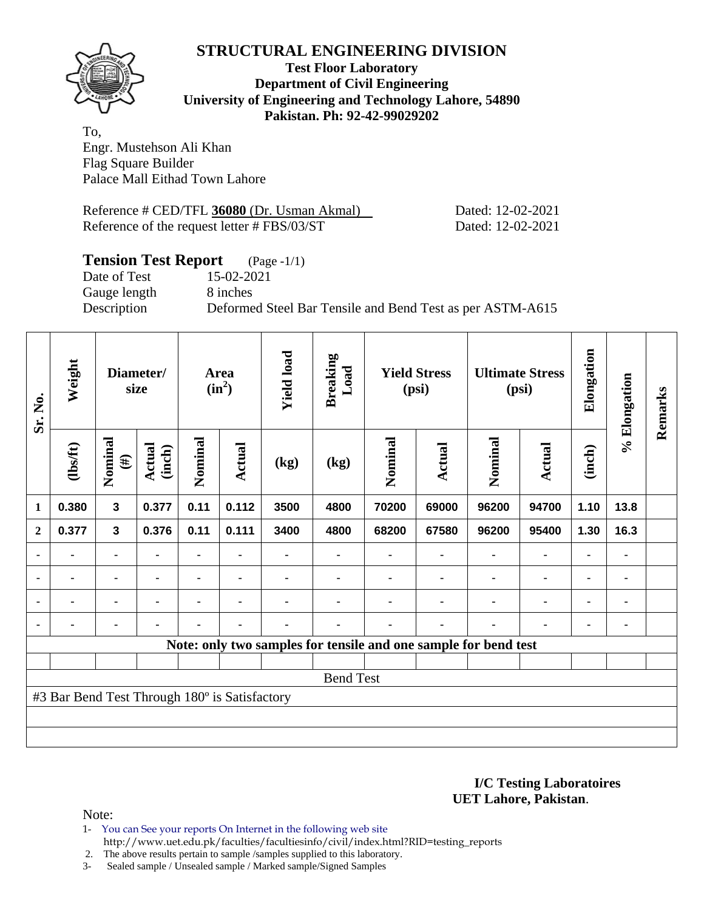

### **Test Floor Laboratory Department of Civil Engineering University of Engineering and Technology Lahore, 54890 Pakistan. Ph: 92-42-99029202**

To, Engr. Mustehson Ali Khan Flag Square Builder Palace Mall Eithad Town Lahore

Reference # CED/TFL **36080** (Dr. Usman Akmal) Dated: 12-02-2021 Reference of the request letter # FBS/03/ST Dated: 12-02-2021

# **Tension Test Report** (Page -1/1)

Date of Test 15-02-2021 Gauge length 8 inches

Description Deformed Steel Bar Tensile and Bend Test as per ASTM-A615

| Sr. No.                                                         | Weight  | Diameter/<br>size       |                  | Area<br>$(in^2)$ |                | <b>Yield load</b> | <b>Breaking</b><br>Load | <b>Yield Stress</b><br>(psi) |                | <b>Ultimate Stress</b><br>(psi) |                | Elongation     | % Elongation   | Remarks |
|-----------------------------------------------------------------|---------|-------------------------|------------------|------------------|----------------|-------------------|-------------------------|------------------------------|----------------|---------------------------------|----------------|----------------|----------------|---------|
|                                                                 | (1bsft) | Nominal<br>$(\#)$       | Actual<br>(inch) | Nominal          | <b>Actual</b>  | (kg)              | (kg)                    | Nominal                      | <b>Actual</b>  | Nominal                         | <b>Actual</b>  | (inch)         |                |         |
| 1                                                               | 0.380   | $\mathbf{3}$            | 0.377            | 0.11             | 0.112          | 3500              | 4800                    | 70200                        | 69000          | 96200                           | 94700          | 1.10           | 13.8           |         |
| $\mathbf{2}$                                                    | 0.377   | $\overline{\mathbf{3}}$ | 0.376            | 0.11             | 0.111          | 3400              | 4800                    | 68200                        | 67580          | 96200                           | 95400          | 1.30           | 16.3           |         |
|                                                                 | ۰       | $\blacksquare$          | $\blacksquare$   | -                | $\blacksquare$ |                   |                         |                              | ۰              | $\blacksquare$                  | $\blacksquare$ | $\blacksquare$ |                |         |
|                                                                 |         | $\blacksquare$          |                  |                  |                |                   |                         |                              |                |                                 | ۰              | ٠              |                |         |
| ٠                                                               |         | ٠                       |                  |                  |                |                   |                         |                              |                |                                 | $\blacksquare$ | ۰              |                |         |
| $\blacksquare$                                                  |         | ۰                       | ٠                |                  |                |                   |                         |                              | $\blacksquare$ | ٠                               | $\blacksquare$ | ۰              | $\blacksquare$ |         |
| Note: only two samples for tensile and one sample for bend test |         |                         |                  |                  |                |                   |                         |                              |                |                                 |                |                |                |         |
|                                                                 |         |                         |                  |                  |                |                   |                         |                              |                |                                 |                |                |                |         |
| <b>Bend Test</b>                                                |         |                         |                  |                  |                |                   |                         |                              |                |                                 |                |                |                |         |
| #3 Bar Bend Test Through 180° is Satisfactory                   |         |                         |                  |                  |                |                   |                         |                              |                |                                 |                |                |                |         |
|                                                                 |         |                         |                  |                  |                |                   |                         |                              |                |                                 |                |                |                |         |
|                                                                 |         |                         |                  |                  |                |                   |                         |                              |                |                                 |                |                |                |         |

**I/C Testing Laboratoires UET Lahore, Pakistan**.

Note:

1- You can See your reports On Internet in the following web site http://www.uet.edu.pk/faculties/facultiesinfo/civil/index.html?RID=testing\_reports

2. The above results pertain to sample /samples supplied to this laboratory.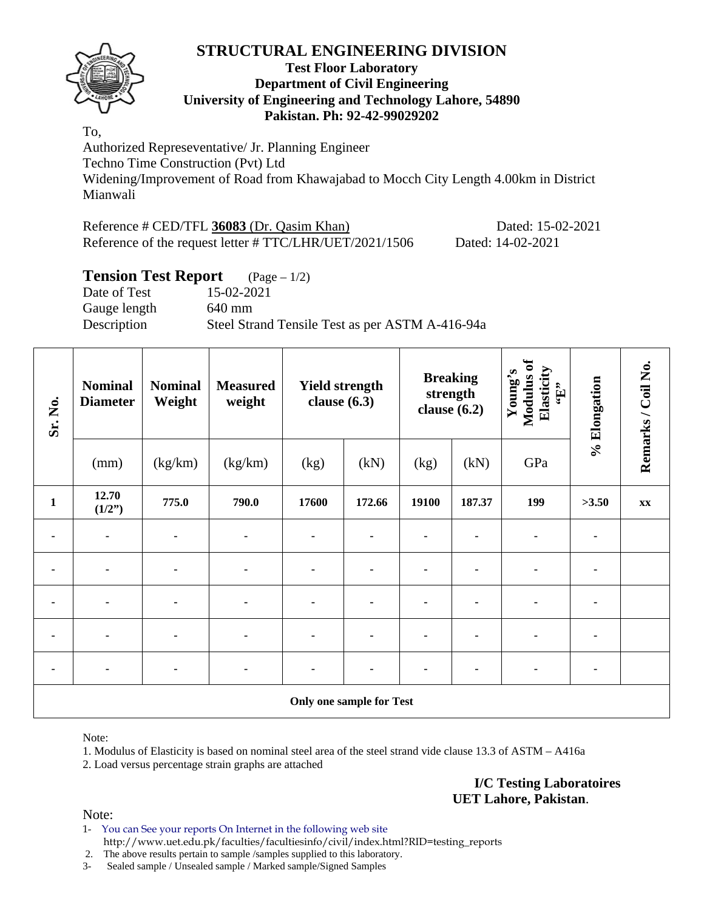

### **Test Floor Laboratory Department of Civil Engineering University of Engineering and Technology Lahore, 54890 Pakistan. Ph: 92-42-99029202**

To,

Authorized Represeventative/ Jr. Planning Engineer Techno Time Construction (Pvt) Ltd Widening/Improvement of Road from Khawajabad to Mocch City Length 4.00km in District Mianwali

Reference # CED/TFL **36083** (Dr. Qasim Khan) Dated: 15-02-2021 Reference of the request letter # TTC/LHR/UET/2021/1506 Dated: 14-02-2021

## **Tension Test Report** (Page – 1/2)

Date of Test 15-02-2021 Gauge length 640 mm Description Steel Strand Tensile Test as per ASTM A-416-94a

| Sr. No.                         | <b>Nominal</b><br><b>Diameter</b> | <b>Nominal</b><br>Weight | <b>Measured</b><br>weight | <b>Yield strength</b><br>clause $(6.3)$ |        | <b>Breaking</b><br>strength<br>clause $(6.2)$ |        | Modulus of<br>Elasticity<br>Young's<br>$\mathbf{G}$ . | % Elongation | Remarks / Coil No. |
|---------------------------------|-----------------------------------|--------------------------|---------------------------|-----------------------------------------|--------|-----------------------------------------------|--------|-------------------------------------------------------|--------------|--------------------|
|                                 | (mm)                              | (kg/km)                  | (kg/km)                   | (kg)                                    | (kN)   | (kg)                                          | (kN)   | GPa                                                   |              |                    |
| $\mathbf{1}$                    | 12.70<br>(1/2")                   | 775.0                    | 790.0                     | 17600                                   | 172.66 | 19100                                         | 187.37 | 199                                                   | >3.50        | XX                 |
|                                 |                                   |                          |                           |                                         |        |                                               |        |                                                       |              |                    |
|                                 | $\blacksquare$                    | $\blacksquare$           | ٠                         |                                         |        |                                               |        |                                                       |              |                    |
|                                 | $\blacksquare$                    | ٠                        |                           |                                         |        |                                               |        |                                                       |              |                    |
|                                 | $\blacksquare$                    |                          |                           |                                         |        |                                               |        |                                                       |              |                    |
|                                 | $\blacksquare$                    |                          |                           |                                         |        |                                               |        |                                                       |              |                    |
| <b>Only one sample for Test</b> |                                   |                          |                           |                                         |        |                                               |        |                                                       |              |                    |

Note:

1. Modulus of Elasticity is based on nominal steel area of the steel strand vide clause 13.3 of ASTM – A416a 2. Load versus percentage strain graphs are attached

> **I/C Testing Laboratoires UET Lahore, Pakistan**.

Note:

1- You can See your reports On Internet in the following web site http://www.uet.edu.pk/faculties/facultiesinfo/civil/index.html?RID=testing\_reports

2. The above results pertain to sample /samples supplied to this laboratory.